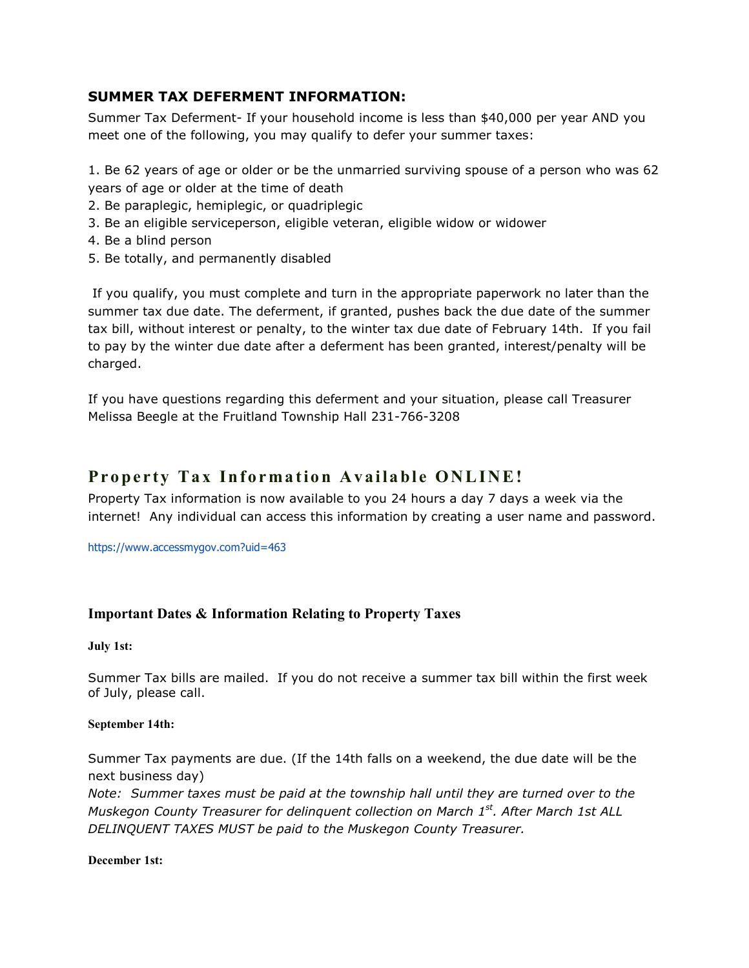## SUMMER TAX DEFERMENT INFORMATION:

Summer Tax Deferment- If your household income is less than \$40,000 per year AND you meet one of the following, you may qualify to defer your summer taxes:

1. Be 62 years of age or older or be the unmarried surviving spouse of a person who was 62 years of age or older at the time of death

- 2. Be paraplegic, hemiplegic, or quadriplegic
- 3. Be an eligible serviceperson, eligible veteran, eligible widow or widower
- 4. Be a blind person
- 5. Be totally, and permanently disabled

 If you qualify, you must complete and turn in the appropriate paperwork no later than the summer tax due date. The deferment, if granted, pushes back the due date of the summer tax bill, without interest or penalty, to the winter tax due date of February 14th. If you fail to pay by the winter due date after a deferment has been granted, interest/penalty will be charged.

If you have questions regarding this deferment and your situation, please call Treasurer Melissa Beegle at the Fruitland Township Hall 231-766-3208

# Property Tax Information Available ONLINE!

Property Tax information is now available to you 24 hours a day 7 days a week via the internet! Any individual can access this information by creating a user name and password.

https://www.accessmygov.com?uid=463

### Important Dates & Information Relating to Property Taxes

July 1st:

Summer Tax bills are mailed. If you do not receive a summer tax bill within the first week of July, please call.

#### September 14th:

Summer Tax payments are due. (If the 14th falls on a weekend, the due date will be the next business day)

Note: Summer taxes must be paid at the township hall until they are turned over to the Muskegon County Treasurer for delinquent collection on March 1st. After March 1st ALL DELINQUENT TAXES MUST be paid to the Muskegon County Treasurer.

December 1st: